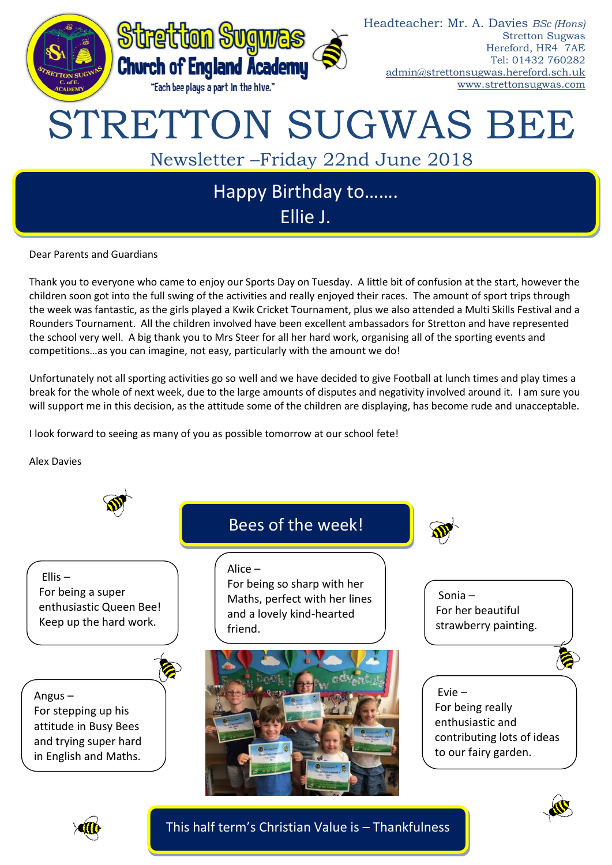

Dear Parents and Guardians

Thank you to everyone who came to enjoy our Sports Day on Tuesday. A little bit of confusion at the start, however the children soon got into the full swing of the activities and really enjoyed their races. The amount of sport trips through the week was fantastic, as the girls played a Kwik Cricket Tournament, plus we also attended a Multi Skills Festival and a Rounders Tournament. All the children involved have been excellent ambassadors for Stretton and have represented the school very well. A big thank you to Mrs Steer for all her hard work, organising all of the sporting events and competitions…as you can imagine, not easy, particularly with the amount we do!

Unfortunately not all sporting activities go so well and we have decided to give Football at lunch times and play times a break for the whole of next week, due to the large amounts of disputes and negativity involved around it. I am sure you will support me in this decision, as the attitude some of the children are displaying, has become rude and unacceptable.

I look forward to seeing as many of you as possible tomorrow at our school fete!

Alex Davies





This half term's Christian Value is – Thankfulness